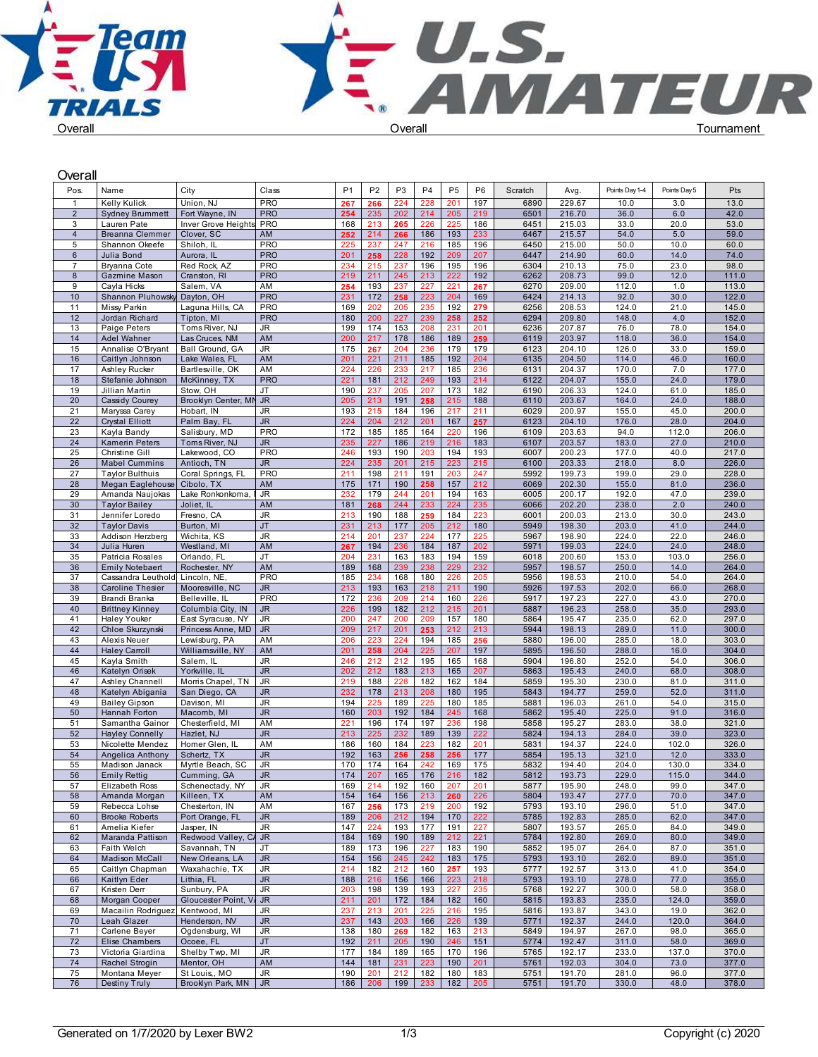

| Overall                          |                                              |                                    |                          |                |                |                |                |                |                |              |                  |                |               |                |  |
|----------------------------------|----------------------------------------------|------------------------------------|--------------------------|----------------|----------------|----------------|----------------|----------------|----------------|--------------|------------------|----------------|---------------|----------------|--|
| Pos.                             | Name                                         | City                               | Class                    | P <sub>1</sub> | P <sub>2</sub> | P <sub>3</sub> | P <sub>4</sub> | P <sub>5</sub> | P <sub>6</sub> | Scratch      | Avg.             | Points Day 1-4 | Points Day 5  | Pts            |  |
| $\mathbf{1}$                     | Kelly Kulick                                 | Union, NJ                          | <b>PRO</b>               | 267            | 266            | 224            | 228            | 201            | 197            | 6890         | 229.67           | 10.0           | 3.0           | 13.0           |  |
| $\overline{2}$                   | <b>Sydney Brummett</b>                       | Fort Wayne, IN                     | <b>PRO</b>               | 254            | 235            | 202            | 214            | 205            | 219            | 6501         | 216.70           | 36.0           | 6.0           | 42.0           |  |
| 3                                | Lauren Pate                                  | Inver Grove Heights                | <b>PRO</b>               | 168            | 213            | 265            | 226            | 225            | 186            | 6451         | 215.03           | 33.0           | 20.0          | 53.0           |  |
| $\overline{4}$                   | <b>Breanna Clemmer</b>                       | Clover, SC                         | AM                       | 252            | 214            | 266            | 186            | 193            | 233            | 6467         | 215.57           | 54.0           | 5.0           | 59.0           |  |
| 5                                | Shannon Okeefe                               | Shiloh. IL                         | <b>PRO</b><br><b>PRO</b> | 225            | 237            | 247            | 216            | 185            | 196            | 6450<br>6447 | 215.00           | 50.0           | 10.0<br>14.0  | 60.0<br>74.0   |  |
| $6\phantom{.}$<br>$\overline{7}$ | Julia Bond<br>Bryanna Cote                   | Aurora, IL<br>Red Rock, AZ         | <b>PRO</b>               | 201<br>234     | 258<br>215     | 228<br>237     | 192<br>196     | 209<br>195     | 207<br>196     | 6304         | 214.90<br>210.13 | 60.0<br>75.0   | 23.0          | 98.0           |  |
| 8                                | Gazmine Mason                                | Cranston, RI                       | <b>PRO</b>               | 219            | 211            | 245            | 213            | 222            | 192            | 6262         | 208.73           | 99.0           | 12.0          | 111.0          |  |
| 9                                | Cayla Hicks                                  | Salem, VA                          | AM                       | 254            | 193            | 237            | 227            | 221            | 267            | 6270         | 209.00           | 112.0          | 1.0           | 113.0          |  |
| 10                               | Shannon Pluhowsk                             | Dayton, OH                         | <b>PRO</b>               | 231            | 172            | 258            | 223            | 204            | 169            | 6424         | 214.13           | 92.0           | 30.0          | 122.0          |  |
| 11                               | Missy Parkin                                 | Laguna Hills, CA                   | PRO                      | 169            | 202            | 205            | 235            | 192            | 279            | 6256         | 208.53           | 124.0          | 21.0          | 145.0          |  |
| 12                               | Jordan Richard                               | Tipton, MI                         | <b>PRO</b>               | 180            | 200            | 227            | 239            | 258            | 252            | 6294         | 209.80           | 148.0          | 4.0           | 152.0          |  |
| 13                               | Paige Peters                                 | Toms River, NJ                     | JR                       | 199            | 174            | 153            | 208            | 231            | 201            | 6236         | 207.87           | 76.0           | 78.0          | 154.0          |  |
| 14<br>15                         | <b>Adel Wahner</b><br>Annalise O'Bryant      | Las Cruces, NM<br>Ball Ground, GA  | AM<br>JR                 | 200<br>175     | 217<br>267     | 178<br>204     | 186<br>236     | 189<br>179     | 259<br>179     | 6119<br>6123 | 203.97<br>204.10 | 118.0<br>126.0 | 36.0<br>33.0  | 154.0<br>159.0 |  |
| 16                               | Caitlyn Johnson                              | Lake Wales, FL                     | AM                       | 201            | 221            | 211            | 185            | 192            | 204            | 6135         | 204.50           | 114.0          | 46.0          | 160.0          |  |
| 17                               | Ashley Rucker                                | Bartlesville, OK                   | AM                       | 224            | 226            | 233            | 217            | 185            | 236            | 6131         | 204.37           | 170.0          | 7.0           | 177.0          |  |
| 18                               | Stefanie Johnson                             | McKinney, TX                       | <b>PRO</b>               | 221            | 181            | 212            | 249            | 193            | 214            | 6122         | 204.07           | 155.0          | 24.0          | 179.0          |  |
| 19                               | Jillian Martin                               | Stow, OH                           | JT                       | 190            | 237            | 205            | 207            | 173            | 182            | 6190         | 206.33           | 124.0          | 61.0          | 185.0          |  |
| 20                               | Cassidy Courey                               | Brooklyn Center, MN JR             |                          | 205            | 213            | 191            | 258            | 215            | 188            | 6110         | 203.67           | 164.0          | 24.0          | 188.0          |  |
| 21                               | Maryssa Carey                                | Hobart, IN                         | JR                       | 193            | 215            | 184            | 196            | 217            | 211            | 6029         | 200.97           | 155.0          | 45.0          | 200.0          |  |
| 22<br>23                         | <b>Crystal Elliott</b><br>Kayla Bandy        | Palm Bay, FL<br>Salisbury, MD      | JR.<br><b>PRO</b>        | 224<br>172     | 204<br>185     | 212<br>185     | 201<br>164     | 167<br>220     | 257<br>196     | 6123<br>6109 | 204.10<br>203.63 | 176.0<br>94.0  | 28.0<br>112.0 | 204.0<br>206.0 |  |
| 24                               | <b>Kamerin Peters</b>                        | Toms River, NJ                     | JR.                      | 235            | 227            | 186            | 219            | 216            | 183            | 6107         | 203.57           | 183.0          | 27.0          | 210.0          |  |
| 25                               | Christine Gill                               | Lakewood, CO                       | PRO                      | 246            | 193            | 190            | 203            | 194            | 193            | 6007         | 200.23           | 177.0          | 40.0          | 217.0          |  |
| 26                               | <b>Mabel Cummins</b>                         | Antioch, TN                        | JR.                      | 224            | 235            | 201            | 215            | 223            | 215            | 6100         | 203.33           | 218.0          | 8.0           | 226.0          |  |
| 27                               | Taylor Bulthuis                              | Coral Springs, FL                  | <b>PRO</b>               | 211            | 198            | 211            | 191            | 203            | 247            | 5992         | 199.73           | 199.0          | 29.0          | 228.0          |  |
| 28                               | Megan Eaglehouse                             | Cibolo, TX                         | AM                       | 175            | 171            | 190            | 258            | 157            | 212            | 6069         | 202.30           | 155.0          | 81.0          | 236.0          |  |
| 29                               | Amanda Naujokas                              | Lake Ronkonkoma,                   | I JR                     | 232            | 179            | 244<br>244     | 201            | 194            | 163<br>235     | 6005         | 200.17           | 192.0          | 47.0          | 239.0          |  |
| 30<br>31                         | <b>Taylor Bailey</b><br>Jennifer Loredo      | Joliet, IL<br>Fresno, CA           | AM<br>JR                 | 181<br>213     | 268<br>190     | 188            | 233<br>259     | 224<br>184     | 223            | 6066<br>6001 | 202.20<br>200.03 | 238.0<br>213.0 | 2.0<br>30.0   | 240.0<br>243.0 |  |
| 32                               | <b>Taylor Davis</b>                          | Burton, MI                         | JT                       | 231            | 213            | 177            | 205            | 212            | 180            | 5949         | 198.30           | 203.0          | 41.0          | 244.0          |  |
| 33                               | Addison Herzberg                             | Wichita, KS                        | <b>JR</b>                | 214            | 201            | 237            | 224            | 177            | 225            | 5967         | 198.90           | 224.0          | 22.0          | 246.0          |  |
| 34                               | Julia Huren                                  | Westland, MI                       | AM                       | 267            | 194            | 236            | 184            | 187            | 202            | 5971         | 199.03           | 224.0          | 24.0          | 248.0          |  |
| 35                               | Patricia Rosales                             | Orlando, FL                        | <b>JT</b>                | 204            | 231            | 163            | 183            | 194            | 159            | 6018         | 200.60           | 153.0          | 103.0         | 256.0          |  |
| 36<br>37                         | <b>Emily Notebaert</b><br>Cassandra Leuthold | Rochester, NY<br>Lincoln, NE,      | AM<br><b>PRO</b>         | 189<br>185     | 168<br>234     | 239<br>168     | 238<br>180     | 229<br>226     | 232<br>205     | 5957<br>5956 | 198.57<br>198.53 | 250.0<br>210.0 | 14.0<br>54.0  | 264.0<br>264.0 |  |
| 38                               | <b>Caroline Thesier</b>                      | Mooresville, NC                    | <b>JR</b>                | 213            | 193            | 163            | 218            | 211            | 190            | 5926         | 197.53           | 202.0          | 66.0          | 268.0          |  |
| 39                               | Brandi Branka                                | Belleville, IL                     | <b>PRO</b>               | 172            | 236            | 209            | 214            | 160            | 226            | 5917         | 197.23           | 227.0          | 43.0          | 270.0          |  |
| 40                               | <b>Brittney Kinney</b>                       | Columbia City, IN                  | <b>JR</b>                | 226            | 199            | 182            | 212            | 215            | 201            | 5887         | 196.23           | 258.0          | 35.0          | 293.0          |  |
| 41                               | <b>Haley Youker</b>                          | East Syracuse, NY                  | JR                       | 200            | 247            | 200            | 209            | 157            | 180            | 5864         | 195.47           | 235.0          | 62.0          | 297.0          |  |
| 42                               | Chloe Skurzynski                             | Princess Anne, MD   JR             |                          | 209            | 217            | 201            | 253            | 212            | 213            | 5944         | 198.13           | 289.0          | 11.0          | 300.0          |  |
| 43<br>44                         | Alexis Neuer<br><b>Haley Carroll</b>         | Lewisburg, PA<br>Williamsville, NY | AM<br>AM                 | 206<br>201     | 223<br>258     | 224<br>204     | 194<br>225     | 185<br>207     | 256<br>197     | 5880<br>5895 | 196.00<br>196.50 | 285.0<br>288.0 | 18.0<br>16.0  | 303.0<br>304.0 |  |
| 45                               | Kayla Smith                                  | Salem, IL                          | JR                       | 246            | 212            | 212            | 195            | 165            | 168            | 5904         | 196.80           | 252.0          | 54.0          | 306.0          |  |
| 46                               | Katelyn Orisek                               | Yorkville, IL                      | JR                       | 202            | 212            | 183            | 213            | 165            | 207            | 5863         | 195.43           | 240.0          | 68.0          | 308.0          |  |
| 47                               | Ashley Channell                              | Morris Chapel, TN                  | JR                       | 219            | 188            | 228            | 182            | 162            | 184            | 5859         | 195.30           | 230.0          | 81.0          | 311.0          |  |
| 48                               | Katelyn Abigania                             | San Diego, CA                      | JR                       | 232            | 178            | 213            | 208            | 180            | 195            | 5843         | 194.77           | 259.0          | 52.0          | 311.0          |  |
| 49                               | <b>Bailey Gipson</b>                         | Davison, MI                        | JR                       | 194            | 225            | 189            | 225            | 180            | 185            | 5881         | 196.03           | 261.0          | 54.0          | 315.0          |  |
| 50<br>51                         | Hannah Forton                                | Macomb, MI                         | <b>JR</b>                | 160            | 203            | 192<br>174     | 184            | 245            | 168            | 5862<br>5858 | 195.40<br>195.27 | 225.0<br>283.0 | 91.0          | 316.0<br>321.0 |  |
| 52                               | Samantha Gainor<br><b>Hayley Connelly</b>    | Chesterfield, MI<br>Hazlet, NJ     | AM<br><b>JR</b>          | 221<br>213     | 196<br>225     | 232            | 197<br>189     | 236<br>139     | 198<br>222     | 5824         | 194.13           | 284.0          | 38.0<br>39.0  | 323.0          |  |
| 53                               | Nicolette Mendez                             | Homer Glen, IL                     | AM                       | 186            | 160            | 184            | 223            | 182            | 201            | 5831         | 194.37           | 224.0          | 102.0         | 326.0          |  |
| 54                               | Angelica Anthony                             | Schertz, TX                        | <b>JR</b>                | 192            | 163            | 256            | 258            | 256            | 177            | 5854         | 195.13           | 321.0          | 12.0          | 333.0          |  |
| 55                               | Madison Janack                               | Myrtle Beach, SC                   | <b>JR</b>                | 170            | 174            | 164            | 242            | 169            | 175            | 5832         | 194.40           | 204.0          | 130.0         | 334.0          |  |
| 56                               | <b>Emily Rettig</b>                          | Cumming, GA                        | <b>JR</b>                | 174            | 207            | 165            | 176            | 216            | 182            | 5812         | 193.73           | 229.0          | 115.0         | 344.0          |  |
| 57                               | Elizabeth Ross                               | Schenectady, NY                    | JR                       | 169            | 214            | 192            | 160            | 207            | 201            | 5877         | 195.90           | 248.0          | 99.0          | 347.0          |  |
| 58<br>59                         | Amanda Morgan<br>Rebecca Lohse               | Killeen, TX<br>Chesterton, IN      | AM<br>AM                 | 154<br>167     | 164<br>256     | 156<br>173     | 213<br>219     | 260<br>200     | 226<br>192     | 5804<br>5793 | 193.47<br>193.10 | 277.0<br>296.0 | 70.0<br>51.0  | 347.0<br>347.0 |  |
| 60                               | <b>Brooke Roberts</b>                        | Port Orange, FL                    | JR.                      | 189            | 206            | 212            | 194            | 170            | 222            | 5785         | 192.83           | 285.0          | 62.0          | 347.0          |  |
| 61                               | Amelia Kiefer                                | Jasper, IN                         | JR                       | 147            | 224            | 193            | 177            | 191            | 227            | 5807         | 193.57           | 265.0          | 84.0          | 349.0          |  |
| 62                               | Maranda Pattison                             | Redwood Valley, CA JR              |                          | 184            | 169            | 190            | 189            | 212            | 221            | 5784         | 192.80           | 269.0          | 80.0          | 349.0          |  |
| 63                               | Faith Welch                                  | Savannah, TN                       | JT                       | 189            | 173            | 196            | 227            | 183            | 190            | 5852         | 195.07           | 264.0          | 87.0          | 351.0          |  |
| 64                               | Madison McCall                               | New Orleans, LA                    | JR                       | 154            | 156            | 245            | 242            | 183            | 175            | 5793         | 193.10           | 262.0          | 89.0          | 351.0          |  |
| 65                               | Caitlyn Chapman                              | Waxahachie, TX<br>Lithia, FL       | JR                       | 214            | 182            | 212            | 160            | 257            | 193            | 5777         | 192.57           | 313.0<br>278.0 | 41.0          | 354.0          |  |
| 66<br>67                         | Kaitlyn Eder<br>Kristen Derr                 | Sunbury, PA                        | JR.<br>JR                | 188<br>203     | 216<br>198     | 156<br>139     | 166<br>193     | 223<br>227     | 218<br>235     | 5793<br>5768 | 193.10<br>192.27 | 300.0          | 77.0<br>58.0  | 355.0<br>358.0 |  |
| 68                               | Morgan Cooper                                | Gloucester Point, V. JR            |                          | 211            | 201            | 172            | 184            | 182            | 160            | 5815         | 193.83           | 235.0          | 124.0         | 359.0          |  |
| 69                               | Macailin Rodriguez Kentwood, MI              |                                    | JR                       | 237            | 213            | 201            | 225            | 216            | 195            | 5816         | 193.87           | 343.0          | 19.0          | 362.0          |  |
| 70                               | Leah Glazer                                  | Henderson, NV                      | JR.                      | 237            | 143            | 203            | 166            | 226            | 139            | 5771         | 192.37           | 244.0          | 120.0         | 364.0          |  |
| 71                               | Carlene Beyer                                | Ogdensburg, WI                     | JR                       | 138            | 180            | 269            | 182            | 163            | 213            | 5849         | 194.97           | 267.0          | 98.0          | 365.0          |  |
| 72<br>73                         | Elise Chambers                               | Ocoee, FL                          | <b>JT</b>                | 192<br>177     | 211<br>184     | 205<br>189     | 190<br>165     | 246<br>170     | 151<br>196     | 5774<br>5765 | 192.47<br>192.17 | 311.0<br>233.0 | 58.0<br>137.0 | 369.0<br>370.0 |  |
| 74                               | Victoria Giardina<br>Rachel Strogin          | Shelby Twp, MI<br>Mentor, OH       | JR<br>AM                 | 144            | 181            | 231            | 223            | 190            | 201            | 5761         | 192.03           | 304.0          | 73.0          | 377.0          |  |
| 75                               | Montana Meyer                                | St Louis,, MO                      | JR                       | 190            | 201            | 212            | 182            | 180            | 183            | 5751         | 191.70           | 281.0          | 96.0          | 377.0          |  |
| 76                               | Destiny Truly                                | Brooklyn Park, MN   JR             |                          | 186            | 206            | 199            | 233            | 182            | 205            | 5751         | 191.70           | 330.0          | 48.0          | 378.0          |  |
|                                  |                                              |                                    |                          |                |                |                |                |                |                |              |                  |                |               |                |  |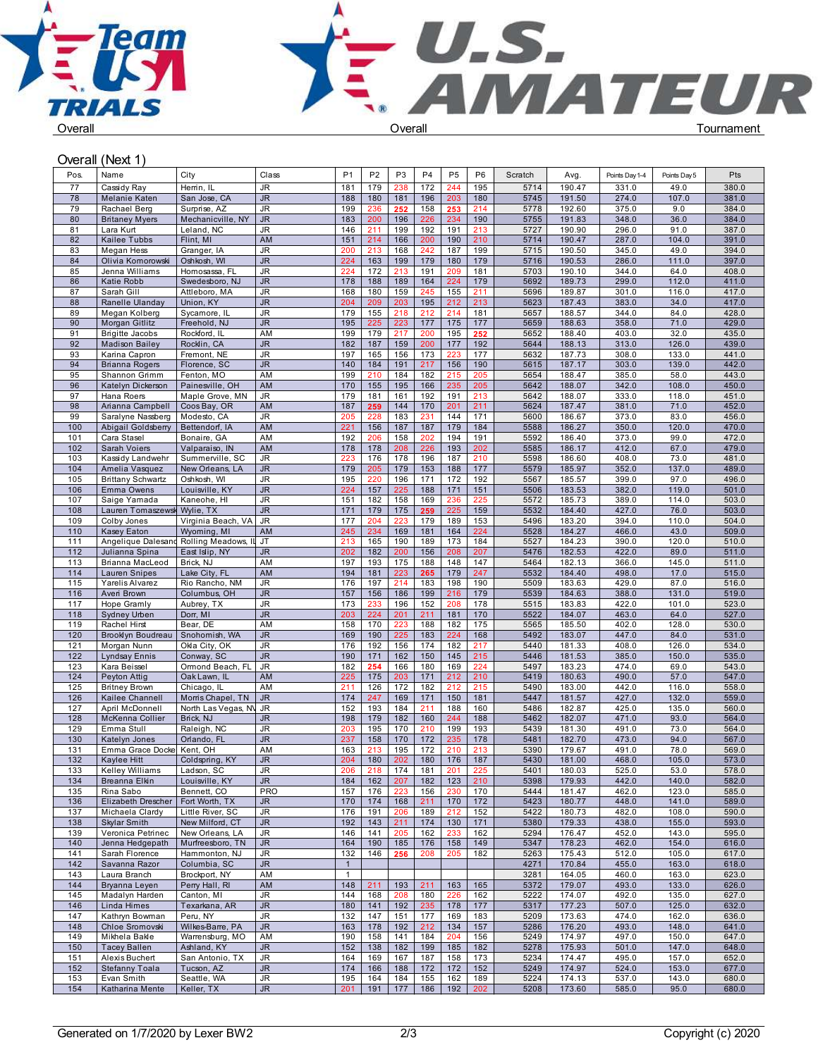



## Overall (Next 1)

| Pos.       | Name                                     | City                                | Class           | P <sub>1</sub> | P <sub>2</sub> | P <sub>3</sub> | P <sub>4</sub> | P <sub>5</sub> | P <sub>6</sub> | Scratch      | Avg.             | Points Day 1-4 | Points Day 5   | Pts            |
|------------|------------------------------------------|-------------------------------------|-----------------|----------------|----------------|----------------|----------------|----------------|----------------|--------------|------------------|----------------|----------------|----------------|
| 77         | Cassidy Ray                              | Herrin, IL                          | JR              | 181            | 179            | 238            | 172            | 244            | 195            | 5714         | 190.47           | 331.0          | 49.0           | 380.0          |
| 78         | Melanie Katen                            | San Jose, CA                        | <b>JR</b>       | 188            | 180            | 181            | 196            | 203            | 180            | 5745         | 191.50           | 274.0          | 107.0          | 381.0          |
| 79         | Rachael Berg                             | Surprise, AZ                        | JR              | 199            | 236            | 252            | 158            | 253            | 214            | 5778         | 192.60           | 375.0          | 9.0            | 384.0          |
| 80         | <b>Britaney Myers</b>                    | Mechanicville, NY                   | <b>JR</b>       | 183            | 200            | 196            | 226            | 234            | 190            | 5755         | 191.83           | 348.0          | 36.0           | 384.0          |
| 81<br>82   | Lara Kurt<br>Kailee Tubbs                | Leland, NC<br>Flint, MI             | JR<br>AM        | 146<br>151     | 211<br>214     | 199<br>166     | 192<br>200     | 191<br>190     | 213<br>210     | 5727<br>5714 | 190.90<br>190.47 | 296.0<br>287.0 | 91.0<br>104.0  | 387.0<br>391.0 |
| 83         | Megan Hess                               | Granger, IA                         | JR              | 200            | 213            | 168            | 242            | 187            | 199            | 5715         | 190.50           | 345.0          | 49.0           | 394.0          |
| 84         | Olivia Komorowski                        | Oshkosh, WI                         | <b>JR</b>       | 224            | 163            | 199            | 179            | 180            | 179            | 5716         | 190.53           | 286.0          | 111.0          | 397.0          |
| 85         | Jenna Williams                           | Homosassa, FL                       | JR              | 224            | 172            | 213            | 191            | 209            | 181            | 5703         | 190.10           | 344.0          | 64.0           | 408.0          |
| 86         | Katie Robb                               | Swedesboro, NJ                      | <b>JR</b>       | 178            | 188            | 189            | 164            | 224            | 179            | 5692         | 189.73           | 299.0          | 112.0          | 411.0          |
| 87         | Sarah Gill                               | Attleboro, MA                       | JR              | 168            | 180            | 159            | 245            | 155            | 211            | 5696         | 189.87           | 301.0          | 116.0          | 417.0          |
| 88         | Ranelle Ulanday                          | Union, KY                           | <b>JR</b>       | 204            | 209            | 203            | 195            | 212            | 213            | 5623         | 187.43           | 383.0          | 34.0           | 417.0          |
| 89         | Megan Kolberg                            | Sycamore, IL                        | JR              | 179            | 155            | 218            | 212            | 214            | 181            | 5657         | 188.57           | 344.0          | 84.0           | 428.0          |
| 90<br>91   | Morgan Gitlitz<br><b>Brigitte Jacobs</b> | Freehold, NJ<br>Rockford, IL        | <b>JR</b><br>AM | 195<br>199     | 225<br>179     | 223<br>217     | 177<br>200     | 175<br>195     | 177<br>252     | 5659<br>5652 | 188.63<br>188.40 | 358.0<br>403.0 | 71.0<br>32.0   | 429.0<br>435.0 |
| 92         | <b>Madison Bailey</b>                    | Rocklin, CA                         | JR              | 182            | 187            | 159            | 200            | 177            | 192            | 5644         | 188.13           | 313.0          | 126.0          | 439.0          |
| 93         | Karina Capron                            | Fremont, NE                         | JR              | 197            | 165            | 156            | 173            | 223            | 177            | 5632         | 187.73           | 308.0          | 133.0          | 441.0          |
| 94         | <b>Brianna Rogers</b>                    | Florence, SC                        | <b>JR</b>       | 140            | 184            | 191            | 217            | 156            | 190            | 5615         | 187.17           | 303.0          | 139.0          | 442.0          |
| 95         | Shannon Grimm                            | Fenton, MO                          | AM              | 199            | 210            | 184            | 182            | 215            | 205            | 5654         | 188.47           | 385.0          | 58.0           | 443.0          |
| 96         | Katelyn Dickerson                        | Painesville, OH                     | AM              | 170            | 155            | 195            | 166            | 235            | 205            | 5642         | 188.07           | 342.0          | 108.0          | 450.0          |
| 97         | Hana Roers                               | Maple Grove, MN                     | JR              | 179            | 181            | 161            | 192            | 191            | 213            | 5642         | 188.07           | 333.0          | 118.0          | 451.0          |
| 98<br>99   | Arianna Campbell<br>Saralyne Nassberg    | Coos Bay, OR<br>Modesto, CA         | AM<br>JR        | 187<br>205     | 259<br>228     | 144<br>183     | 170<br>231     | 201<br>144     | 211<br>171     | 5624<br>5600 | 187.47<br>186.67 | 381.0<br>373.0 | 71.0<br>83.0   | 452.0<br>456.0 |
| 100        | Abigail Goldsberry                       | Bettendorf, IA                      | AM              | 221            | 156            | 187            | 187            | 179            | 184            | 5588         | 186.27           | 350.0          | 120.0          | 470.0          |
| 101        | Cara Stasel                              | Bonaire, GA                         | AM              | 192            | 206            | 158            | 202            | 194            | 191            | 5592         | 186.40           | 373.0          | 99.0           | 472.0          |
| 102        | Sarah Voiers                             | Valparaiso, IN                      | AM              | 178            | 178            | 208            | 226            | 193            | 202            | 5585         | 186.17           | 412.0          | 67.0           | 479.0          |
| 103        | Kassidy Landwehr                         | Summerville, SC                     | JR              | 223            | 176            | 178            | 196            | 187            | 210            | 5598         | 186.60           | 408.0          | 73.0           | 481.0          |
| 104        | Amelia Vasquez                           | New Orleans, LA                     | <b>JR</b>       | 179            | 205            | 179            | 153            | 188            | 177            | 5579         | 185.97           | 352.0          | 137.0          | 489.0          |
| 105        | <b>Brittany Schwartz</b>                 | Oshkosh, WI                         | JR              | 195            | 220            | 196            | 171            | 172            | 192            | 5567         | 185.57           | 399.0          | 97.0           | 496.0          |
| 106<br>107 | Emma Owens                               | Louisville, KY                      | <b>JR</b><br>JR | 224<br>151     | 157<br>182     | 225<br>158     | 188<br>169     | 171<br>236     | 151<br>225     | 5506<br>5572 | 183.53<br>185.73 | 382.0<br>389.0 | 119.0<br>114.0 | 501.0<br>503.0 |
| 108        | Saige Yamada<br>Lauren Tomaszewsk        | Kaneohe, HI<br>Wylie, TX            | JR.             | 171            | 179            | 175            | 259            | 225            | 159            | 5532         | 184.40           | 427.0          | 76.0           | 503.0          |
| 109        | Colby Jones                              | Virginia Beach, VA                  | JR.             | 177            | 204            | 223            | 179            | 189            | 153            | 5496         | 183.20           | 394.0          | 110.0          | 504.0          |
| 110        | Kasey Eaton                              | Wyoming, MI                         | AM              | 245            | 234            | 169            | 181            | 164            | 224            | 5528         | 184.27           | 466.0          | 43.0           | 509.0          |
| 111        | Angelique Dalesano                       | Rolling Meadows, IL                 | I JT            | 213            | 165            | 190            | 189            | 173            | 184            | 5527         | 184.23           | 390.0          | 120.0          | 510.0          |
| 112        | Julianna Spina                           | East Islip, NY                      | <b>JR</b>       | 202            | 182            | 200            | 156            | 208            | 207            | 5476         | 182.53           | 422.0          | 89.0           | 511.0          |
| 113        | Brianna MacLeod                          | Brick, NJ                           | AM              | 197            | 193            | 175            | 188            | 148            | 147            | 5464         | 182.13           | 366.0          | 145.0          | 511.0          |
| 114        | Lauren Snipes                            | Lake City, FL                       | AM<br>JR        | 194<br>176     | 181            | 223<br>214     | 265            | 179            | 247            | 5532         | 184.40           | 498.0<br>429.0 | 17.0           | 515.0          |
| 115<br>116 | Yarelis Alvarez<br>Averi Brown           | Rio Rancho, NM<br>Columbus, OH      | <b>JR</b>       | 157            | 197<br>156     | 186            | 183<br>199     | 198<br>216     | 190<br>179     | 5509<br>5539 | 183.63<br>184.63 | 388.0          | 87.0<br>131.0  | 516.0<br>519.0 |
| 117        | Hope Gramly                              | Aubrey, TX                          | JR              | 173            | 233            | 196            | 152            | 208            | 178            | 5515         | 183.83           | 422.0          | 101.0          | 523.0          |
| 118        | Sydney Urben                             | Dorr, MI                            | <b>JR</b>       | 203            | 224            | 201            | 211            | 181            | 170            | 5522         | 184.07           | 463.0          | 64.0           | 527.0          |
| 119        | Rachel Hirst                             | Bear, DE                            | AM              | 158            | 170            | 223            | 188            | 182            | 175            | 5565         | 185.50           | 402.0          | 128.0          | 530.0          |
| 120        | Brooklyn Boudreau                        | Snohomish, WA                       | <b>JR</b>       | 169            | 190            | 225            | 183            | 224            | 168            | 5492         | 183.07           | 447.0          | 84.0           | 531.0          |
| 121        | Morgan Nunn                              | Okla City, OK                       | JR              | 176            | 192            | 156            | 174            | 182            | 217            | 5440         | 181.33           | 408.0          | 126.0          | 534.0          |
| 122        | <b>Lyndsay Ennis</b>                     | Conway, SC                          | JR              | 190            | 171            | 162            | 150            | 145            | 215            | 5446         | 181.53           | 385.0          | 150.0          | 535.0          |
| 123<br>124 | Kara Beissel<br>Peyton Attig             | Ormond Beach, FL<br>Oak Lawn, IL    | JR.<br>AM       | 182<br>225     | 254<br>175     | 166<br>203     | 180<br>171     | 169<br>212     | 224<br>210     | 5497<br>5419 | 183.23<br>180.63 | 474.0<br>490.0 | 69.0<br>57.0   | 543.0<br>547.0 |
| 125        | <b>Britney Brown</b>                     | Chicago, IL                         | AM              | 211            | 126            | 172            | 182            | 212            | 215            | 5490         | 183.00           | 442.0          | 116.0          | 558.0          |
| 126        | Kailee Channell                          | Morris Chapel, TN                   | <b>JR</b>       | 174            | 247            | 169            | 171            | 150            | 181            | 5447         | 181.57           | 427.0          | 132.0          | 559.0          |
| 127        | April McDonnell                          | North Las Vegas, NV JR              |                 | 152            | 193            | 184            | 211            | 188            | 160            | 5486         | 182.87           | 425.0          | 135.0          | 560.0          |
| 128        | McKenna Collier                          | Brick, NJ                           | JR              | 198            | 179            | 182            | 160            | 244            | 188            | 5462         | 182.07           | 471.0          | 93.0           | 564.0          |
| 129        | Emma Stull                               | Raleigh, NC                         | JR              | 203            | 195            | 170            | 210            | 199            | 193            | 5439         | 181.30           | 491.0          | 73.0           | 564.0          |
| 130        | Katelyn Jones                            | Orlando, FL                         | <b>JR</b>       | 237            | 158            | 170            | 172            | 235            | 178            | 5481         | 182.70           | 473.0          | 94.0           | 567.0          |
| 131<br>132 | Emma Grace Docke<br>Kaylee Hitt          | Kent, OH<br>Coldspring, KY          | AM<br><b>JR</b> | 163<br>204     | 213<br>180     | 195<br>202     | 172<br>180     | 210<br>176     | 213<br>187     | 5390<br>5430 | 179.67<br>181.00 | 491.0<br>468.0 | 78.0<br>105.0  | 569.0<br>573.0 |
| 133        | <b>Kelley Williams</b>                   | Ladson, SC                          | JR              | 206            | 218            | 174            | 181            | 201            | 225            | 5401         | 180.03           | 525.0          | 53.0           | 578.0          |
| 134        | Breanna Elkin                            | Louisville, KY                      | <b>JR</b>       | 184            | 162            | 207            | 182            | 123            | 210            | 5398         | 179.93           | 442.0          | 140.0          | 582.0          |
| 135        | Rina Sabo                                | Bennett, CO                         | <b>PRO</b>      | 157            | 176            | 223            | 156            | 230            | 170            | 5444         | 181.47           | 462.0          | 123.0          | 585.0          |
| 136        | Elizabeth Drescher                       | Fort Worth, TX                      | JR.             | 170            | 174            | 168            | 211            | 170            | 172            | 5423         | 180.77           | 448.0          | 141.0          | 589.0          |
| 137        | Michaela Clardy                          | Little River, SC                    | JR              | 176            | 191            | 206            | 189            | 212            | 152            | 5422         | 180.73           | 482.0          | 108.0          | 590.0          |
| 138        | Skylar Smith                             | New Milford, CT                     | JR.             | 192            | 143            | 211            | 174            | 130            | 171            | 5380         | 179.33           | 438.0          | 155.0          | 593.0          |
| 139<br>140 | Veronica Petrinec<br>Jenna Hedgepath     | New Orleans, LA<br>Murfreesboro, TN | JR<br><b>JR</b> | 146<br>164     | 141<br>190     | 205<br>185     | 162<br>176     | 233<br>158     | 162<br>149     | 5294<br>5347 | 176.47<br>178.23 | 452.0<br>462.0 | 143.0<br>154.0 | 595.0<br>616.0 |
| 141        | Sarah Florence                           | Hammonton, NJ                       | JR              | 132            | 146            | 256            | 208            | 205            | 182            | 5263         | 175.43           | 512.0          | 105.0          | 617.0          |
| 142        | Savanna Razor                            | Columbia, SC                        | JR.             | $\overline{1}$ |                |                |                |                |                | 4271         | 170.84           | 455.0          | 163.0          | 618.0          |
| 143        | Laura Branch                             | Brockport, NY                       | AM              | $\overline{1}$ |                |                |                |                |                | 3281         | 164.05           | 460.0          | 163.0          | 623.0          |
| 144        | Bryanna Leyen                            | Perry Hall, RI                      | AM              | 148            | 211            | 193            | 211            | 163            | 165            | 5372         | 179.07           | 493.0          | 133.0          | 626.0          |
| 145        | Madalyn Harden                           | Canton, MI                          | JR              | 144            | 168            | 208            | 180            | 226            | 162            | 5222         | 174.07           | 492.0          | 135.0          | 627.0          |
| 146        | Linda Himes                              | Texarkana, AR                       | <b>JR</b>       | 180            | 141            | 192            | 235            | 178            | 177            | 5317         | 177.23           | 507.0          | 125.0          | 632.0          |
| 147        | Kathryn Bowman                           | Peru, NY                            | JR              | 132            | 147            | 151            | 177            | 169            | 183            | 5209         | 173.63           | 474.0          | 162.0          | 636.0          |
| 148<br>149 | Chloe Sromovski<br>Mikhela Bakle         | Wilkes-Barre, PA<br>Warrensburg, MO | <b>JR</b><br>AM | 163<br>190     | 178<br>158     | 192<br>141     | 212<br>184     | 134<br>204     | 157<br>156     | 5286<br>5249 | 176.20<br>174.97 | 493.0<br>497.0 | 148.0<br>150.0 | 641.0<br>647.0 |
| 150        | <b>Tacey Ballen</b>                      | Ashland, KY                         | <b>JR</b>       | 152            | 138            | 182            | 199            | 185            | 182            | 5278         | 175.93           | 501.0          | 147.0          | 648.0          |
| 151        | Alexis Buchert                           | San Antonio, TX                     | JR              | 164            | 169            | 167            | 187            | 158            | 173            | 5234         | 174.47           | 495.0          | 157.0          | 652.0          |
| 152        | Stefanny Toala                           | Tucson, AZ                          | <b>JR</b>       | 174            | 166            | 188            | 172            | 172            | 152            | 5249         | 174.97           | 524.0          | 153.0          | 677.0          |
| 153        | Evan Smith                               | Seattle, WA                         | JR              | 195            | 164            | 184            | 155            | 162            | 189            | 5224         | 174.13           | 537.0          | 143.0          | 680.0          |
| 154        | Katharina Mente                          | Keller, TX                          | <b>JR</b>       | 201            | 191            | 177            | 186            | 192            | 202            | 5208         | 173.60           | 585.0          | 95.0           | 680.0          |